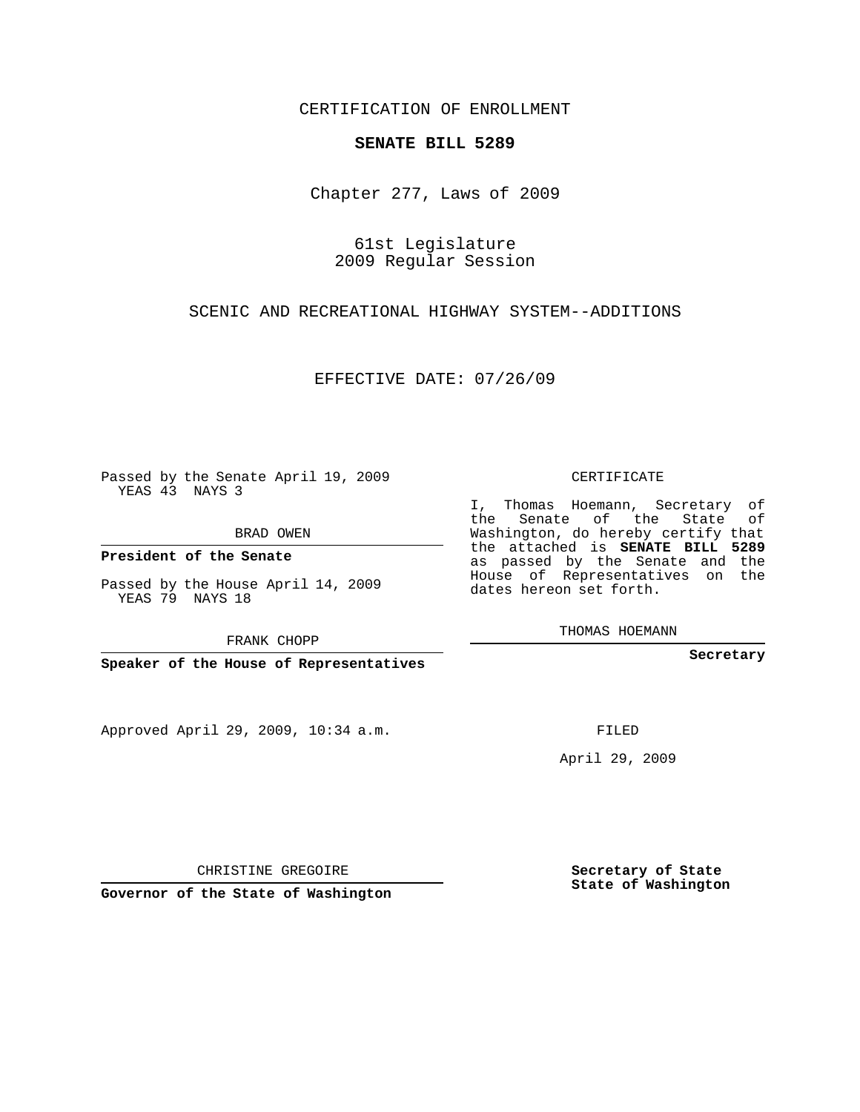CERTIFICATION OF ENROLLMENT

## **SENATE BILL 5289**

Chapter 277, Laws of 2009

61st Legislature 2009 Regular Session

SCENIC AND RECREATIONAL HIGHWAY SYSTEM--ADDITIONS

EFFECTIVE DATE: 07/26/09

Passed by the Senate April 19, 2009 YEAS 43 NAYS 3

BRAD OWEN

**President of the Senate**

Passed by the House April 14, 2009 YEAS 79 NAYS 18

FRANK CHOPP

**Speaker of the House of Representatives**

Approved April 29, 2009, 10:34 a.m.

CERTIFICATE

I, Thomas Hoemann, Secretary of the Senate of the State of Washington, do hereby certify that the attached is **SENATE BILL 5289** as passed by the Senate and the House of Representatives on the dates hereon set forth.

THOMAS HOEMANN

**Secretary**

FILED

April 29, 2009

**Secretary of State State of Washington**

CHRISTINE GREGOIRE

**Governor of the State of Washington**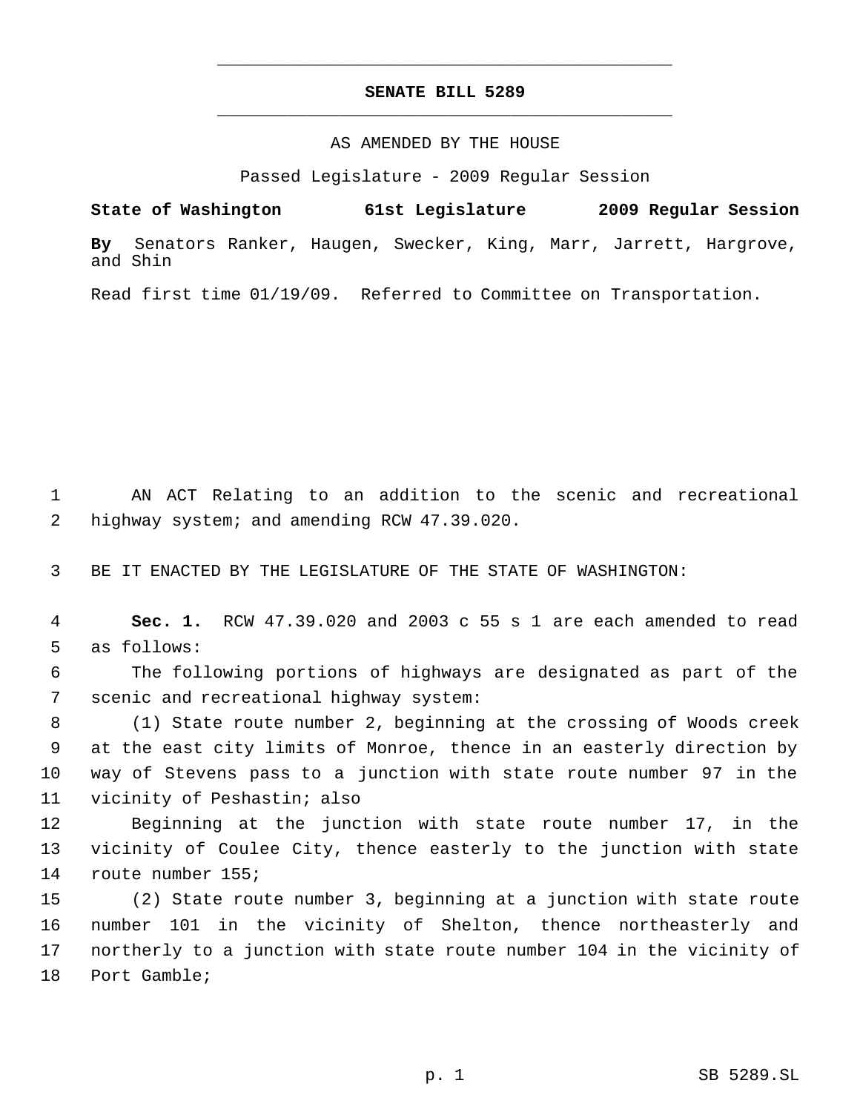## **SENATE BILL 5289** \_\_\_\_\_\_\_\_\_\_\_\_\_\_\_\_\_\_\_\_\_\_\_\_\_\_\_\_\_\_\_\_\_\_\_\_\_\_\_\_\_\_\_\_\_

\_\_\_\_\_\_\_\_\_\_\_\_\_\_\_\_\_\_\_\_\_\_\_\_\_\_\_\_\_\_\_\_\_\_\_\_\_\_\_\_\_\_\_\_\_

## AS AMENDED BY THE HOUSE

Passed Legislature - 2009 Regular Session

**State of Washington 61st Legislature 2009 Regular Session By** Senators Ranker, Haugen, Swecker, King, Marr, Jarrett, Hargrove, and Shin

Read first time 01/19/09. Referred to Committee on Transportation.

 AN ACT Relating to an addition to the scenic and recreational highway system; and amending RCW 47.39.020.

BE IT ENACTED BY THE LEGISLATURE OF THE STATE OF WASHINGTON:

 **Sec. 1.** RCW 47.39.020 and 2003 c 55 s 1 are each amended to read as follows:

 The following portions of highways are designated as part of the scenic and recreational highway system:

 (1) State route number 2, beginning at the crossing of Woods creek at the east city limits of Monroe, thence in an easterly direction by way of Stevens pass to a junction with state route number 97 in the vicinity of Peshastin; also

 Beginning at the junction with state route number 17, in the vicinity of Coulee City, thence easterly to the junction with state route number 155;

 (2) State route number 3, beginning at a junction with state route number 101 in the vicinity of Shelton, thence northeasterly and northerly to a junction with state route number 104 in the vicinity of Port Gamble;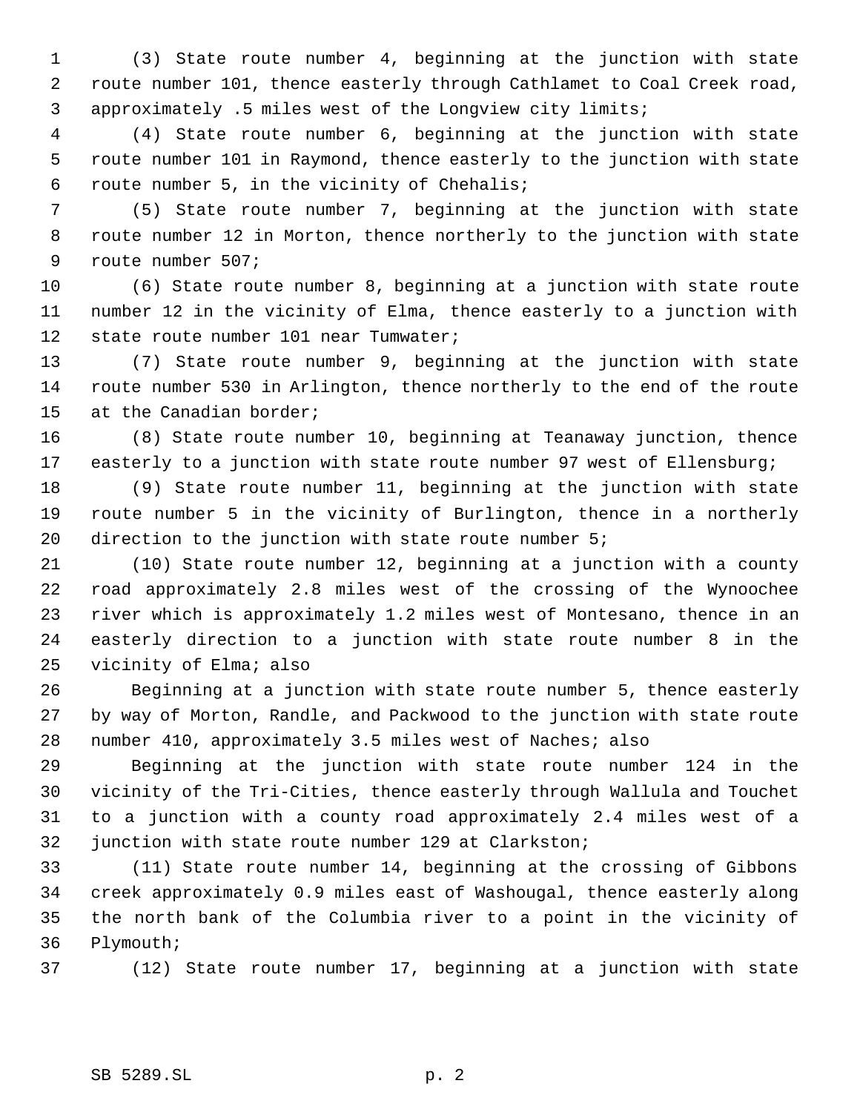(3) State route number 4, beginning at the junction with state route number 101, thence easterly through Cathlamet to Coal Creek road, approximately .5 miles west of the Longview city limits;

 (4) State route number 6, beginning at the junction with state route number 101 in Raymond, thence easterly to the junction with state route number 5, in the vicinity of Chehalis;

 (5) State route number 7, beginning at the junction with state route number 12 in Morton, thence northerly to the junction with state route number 507;

 (6) State route number 8, beginning at a junction with state route number 12 in the vicinity of Elma, thence easterly to a junction with state route number 101 near Tumwater;

 (7) State route number 9, beginning at the junction with state route number 530 in Arlington, thence northerly to the end of the route at the Canadian border;

 (8) State route number 10, beginning at Teanaway junction, thence 17 easterly to a junction with state route number 97 west of Ellensburg;

 (9) State route number 11, beginning at the junction with state route number 5 in the vicinity of Burlington, thence in a northerly direction to the junction with state route number 5;

 (10) State route number 12, beginning at a junction with a county road approximately 2.8 miles west of the crossing of the Wynoochee river which is approximately 1.2 miles west of Montesano, thence in an easterly direction to a junction with state route number 8 in the vicinity of Elma; also

 Beginning at a junction with state route number 5, thence easterly by way of Morton, Randle, and Packwood to the junction with state route number 410, approximately 3.5 miles west of Naches; also

 Beginning at the junction with state route number 124 in the vicinity of the Tri-Cities, thence easterly through Wallula and Touchet to a junction with a county road approximately 2.4 miles west of a junction with state route number 129 at Clarkston;

 (11) State route number 14, beginning at the crossing of Gibbons creek approximately 0.9 miles east of Washougal, thence easterly along the north bank of the Columbia river to a point in the vicinity of Plymouth;

(12) State route number 17, beginning at a junction with state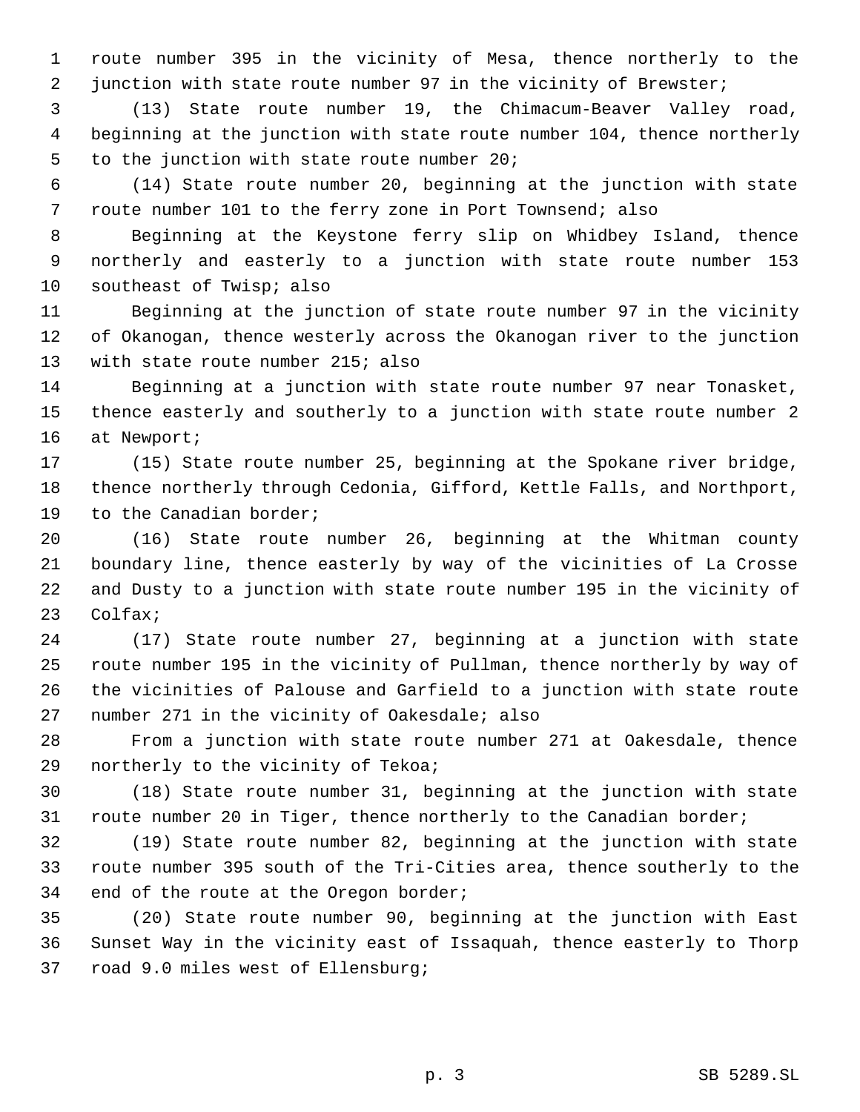route number 395 in the vicinity of Mesa, thence northerly to the 2 junction with state route number 97 in the vicinity of Brewster;

 (13) State route number 19, the Chimacum-Beaver Valley road, beginning at the junction with state route number 104, thence northerly to the junction with state route number 20;

 (14) State route number 20, beginning at the junction with state route number 101 to the ferry zone in Port Townsend; also

 Beginning at the Keystone ferry slip on Whidbey Island, thence northerly and easterly to a junction with state route number 153 southeast of Twisp; also

 Beginning at the junction of state route number 97 in the vicinity of Okanogan, thence westerly across the Okanogan river to the junction with state route number 215; also

 Beginning at a junction with state route number 97 near Tonasket, thence easterly and southerly to a junction with state route number 2 at Newport;

 (15) State route number 25, beginning at the Spokane river bridge, thence northerly through Cedonia, Gifford, Kettle Falls, and Northport, 19 to the Canadian border;

 (16) State route number 26, beginning at the Whitman county boundary line, thence easterly by way of the vicinities of La Crosse and Dusty to a junction with state route number 195 in the vicinity of Colfax;

 (17) State route number 27, beginning at a junction with state route number 195 in the vicinity of Pullman, thence northerly by way of the vicinities of Palouse and Garfield to a junction with state route number 271 in the vicinity of Oakesdale; also

 From a junction with state route number 271 at Oakesdale, thence northerly to the vicinity of Tekoa;

 (18) State route number 31, beginning at the junction with state route number 20 in Tiger, thence northerly to the Canadian border;

 (19) State route number 82, beginning at the junction with state route number 395 south of the Tri-Cities area, thence southerly to the end of the route at the Oregon border;

 (20) State route number 90, beginning at the junction with East Sunset Way in the vicinity east of Issaquah, thence easterly to Thorp road 9.0 miles west of Ellensburg;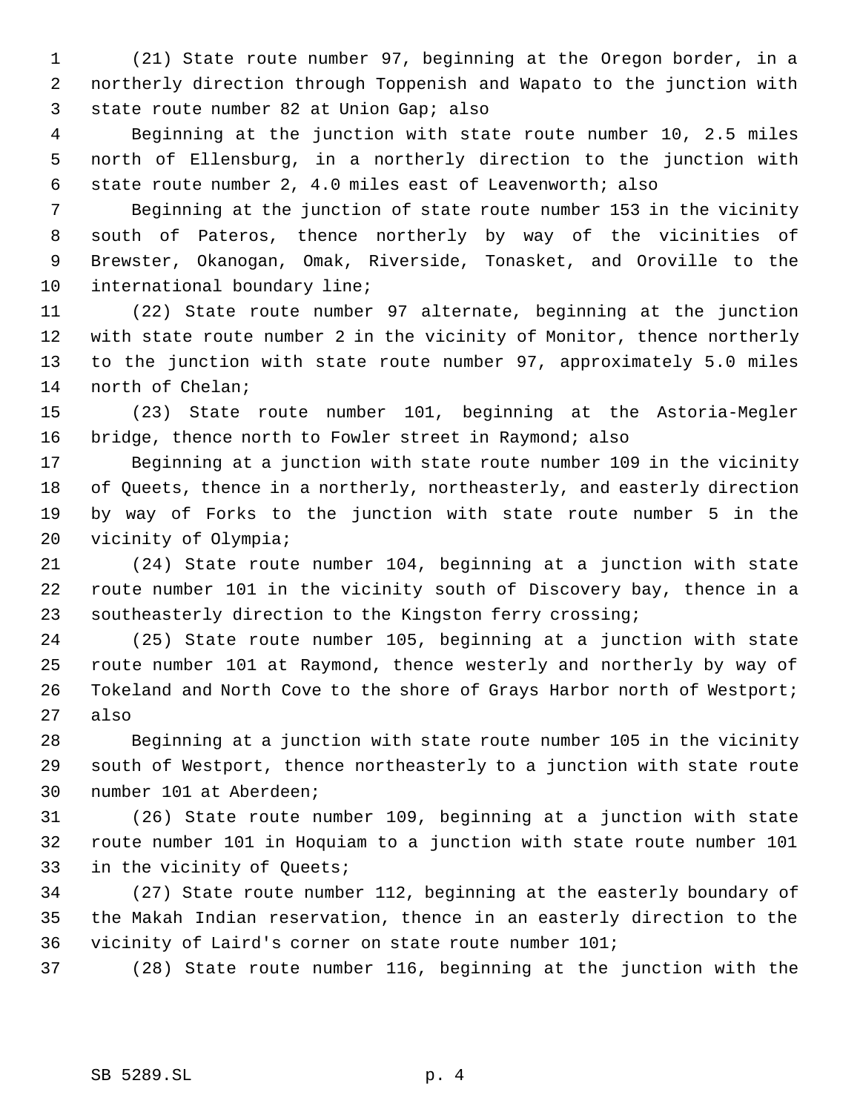(21) State route number 97, beginning at the Oregon border, in a northerly direction through Toppenish and Wapato to the junction with state route number 82 at Union Gap; also

 Beginning at the junction with state route number 10, 2.5 miles north of Ellensburg, in a northerly direction to the junction with state route number 2, 4.0 miles east of Leavenworth; also

 Beginning at the junction of state route number 153 in the vicinity south of Pateros, thence northerly by way of the vicinities of Brewster, Okanogan, Omak, Riverside, Tonasket, and Oroville to the international boundary line;

 (22) State route number 97 alternate, beginning at the junction with state route number 2 in the vicinity of Monitor, thence northerly to the junction with state route number 97, approximately 5.0 miles north of Chelan;

 (23) State route number 101, beginning at the Astoria-Megler bridge, thence north to Fowler street in Raymond; also

 Beginning at a junction with state route number 109 in the vicinity of Queets, thence in a northerly, northeasterly, and easterly direction by way of Forks to the junction with state route number 5 in the vicinity of Olympia;

 (24) State route number 104, beginning at a junction with state route number 101 in the vicinity south of Discovery bay, thence in a southeasterly direction to the Kingston ferry crossing;

 (25) State route number 105, beginning at a junction with state route number 101 at Raymond, thence westerly and northerly by way of Tokeland and North Cove to the shore of Grays Harbor north of Westport; also

 Beginning at a junction with state route number 105 in the vicinity south of Westport, thence northeasterly to a junction with state route number 101 at Aberdeen;

 (26) State route number 109, beginning at a junction with state route number 101 in Hoquiam to a junction with state route number 101 in the vicinity of Queets;

 (27) State route number 112, beginning at the easterly boundary of the Makah Indian reservation, thence in an easterly direction to the vicinity of Laird's corner on state route number 101;

(28) State route number 116, beginning at the junction with the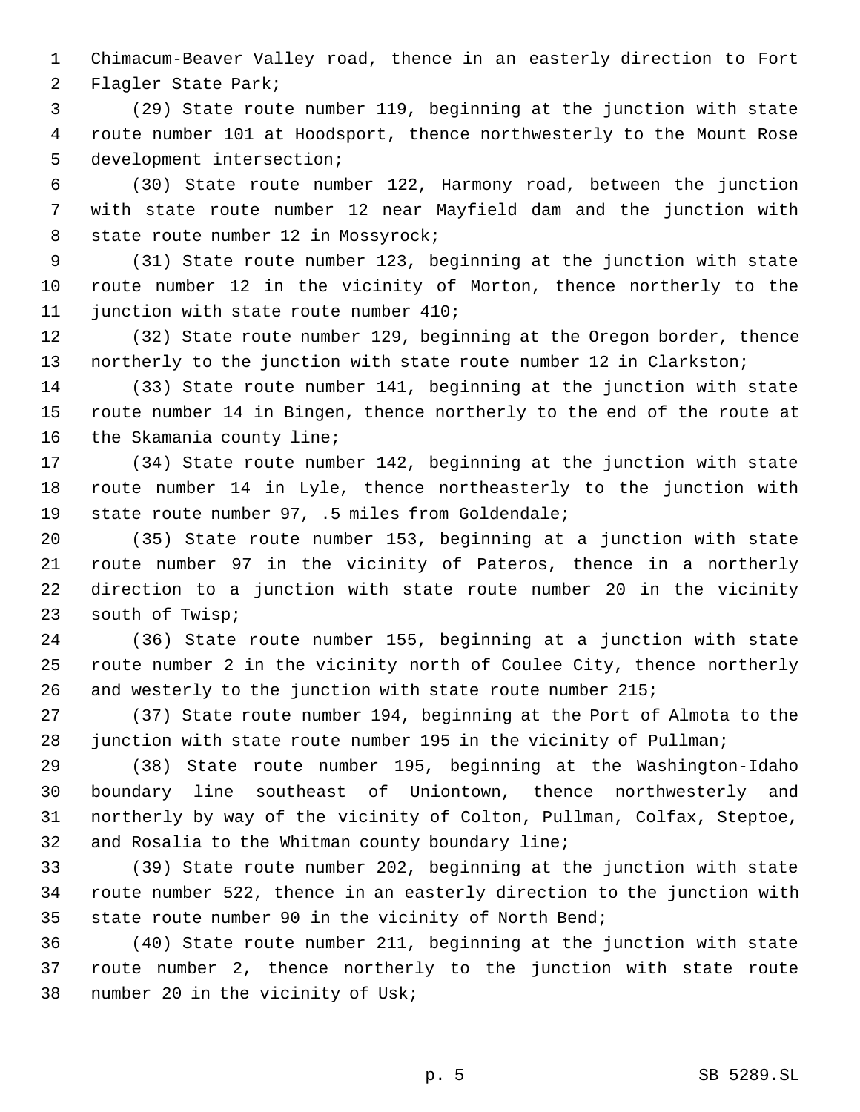Chimacum-Beaver Valley road, thence in an easterly direction to Fort

Flagler State Park;

 (29) State route number 119, beginning at the junction with state route number 101 at Hoodsport, thence northwesterly to the Mount Rose development intersection;

 (30) State route number 122, Harmony road, between the junction with state route number 12 near Mayfield dam and the junction with 8 state route number 12 in Mossyrock;

 (31) State route number 123, beginning at the junction with state route number 12 in the vicinity of Morton, thence northerly to the 11 junction with state route number 410;

 (32) State route number 129, beginning at the Oregon border, thence 13 northerly to the junction with state route number 12 in Clarkston;

 (33) State route number 141, beginning at the junction with state route number 14 in Bingen, thence northerly to the end of the route at 16 the Skamania county line;

 (34) State route number 142, beginning at the junction with state route number 14 in Lyle, thence northeasterly to the junction with state route number 97, .5 miles from Goldendale;

 (35) State route number 153, beginning at a junction with state route number 97 in the vicinity of Pateros, thence in a northerly direction to a junction with state route number 20 in the vicinity south of Twisp;

 (36) State route number 155, beginning at a junction with state route number 2 in the vicinity north of Coulee City, thence northerly 26 and westerly to the junction with state route number 215;

 (37) State route number 194, beginning at the Port of Almota to the junction with state route number 195 in the vicinity of Pullman;

 (38) State route number 195, beginning at the Washington-Idaho boundary line southeast of Uniontown, thence northwesterly and northerly by way of the vicinity of Colton, Pullman, Colfax, Steptoe, and Rosalia to the Whitman county boundary line;

 (39) State route number 202, beginning at the junction with state route number 522, thence in an easterly direction to the junction with state route number 90 in the vicinity of North Bend;

 (40) State route number 211, beginning at the junction with state route number 2, thence northerly to the junction with state route number 20 in the vicinity of Usk;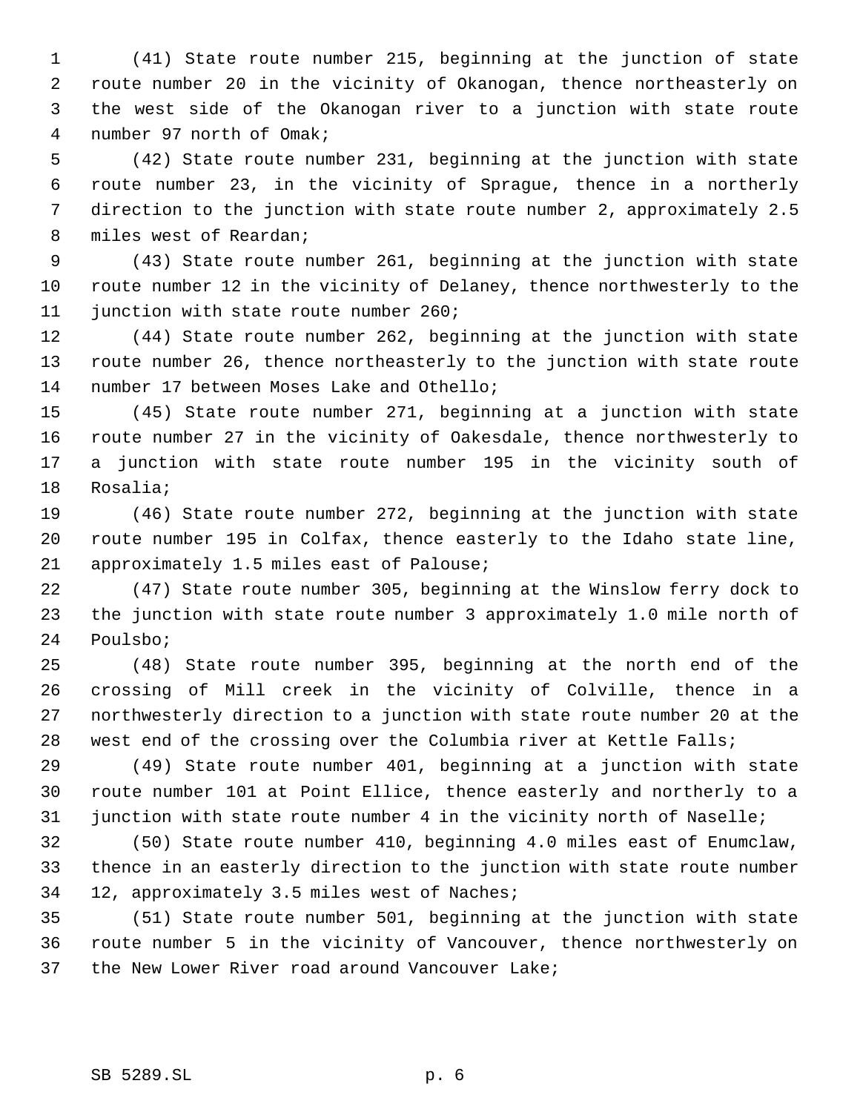(41) State route number 215, beginning at the junction of state route number 20 in the vicinity of Okanogan, thence northeasterly on the west side of the Okanogan river to a junction with state route number 97 north of Omak;

 (42) State route number 231, beginning at the junction with state route number 23, in the vicinity of Sprague, thence in a northerly direction to the junction with state route number 2, approximately 2.5 miles west of Reardan;

 (43) State route number 261, beginning at the junction with state route number 12 in the vicinity of Delaney, thence northwesterly to the 11 junction with state route number 260;

 (44) State route number 262, beginning at the junction with state route number 26, thence northeasterly to the junction with state route number 17 between Moses Lake and Othello;

 (45) State route number 271, beginning at a junction with state route number 27 in the vicinity of Oakesdale, thence northwesterly to a junction with state route number 195 in the vicinity south of Rosalia;

 (46) State route number 272, beginning at the junction with state route number 195 in Colfax, thence easterly to the Idaho state line, approximately 1.5 miles east of Palouse;

 (47) State route number 305, beginning at the Winslow ferry dock to the junction with state route number 3 approximately 1.0 mile north of Poulsbo;

 (48) State route number 395, beginning at the north end of the crossing of Mill creek in the vicinity of Colville, thence in a northwesterly direction to a junction with state route number 20 at the west end of the crossing over the Columbia river at Kettle Falls;

 (49) State route number 401, beginning at a junction with state route number 101 at Point Ellice, thence easterly and northerly to a junction with state route number 4 in the vicinity north of Naselle;

 (50) State route number 410, beginning 4.0 miles east of Enumclaw, thence in an easterly direction to the junction with state route number 12, approximately 3.5 miles west of Naches;

 (51) State route number 501, beginning at the junction with state route number 5 in the vicinity of Vancouver, thence northwesterly on the New Lower River road around Vancouver Lake;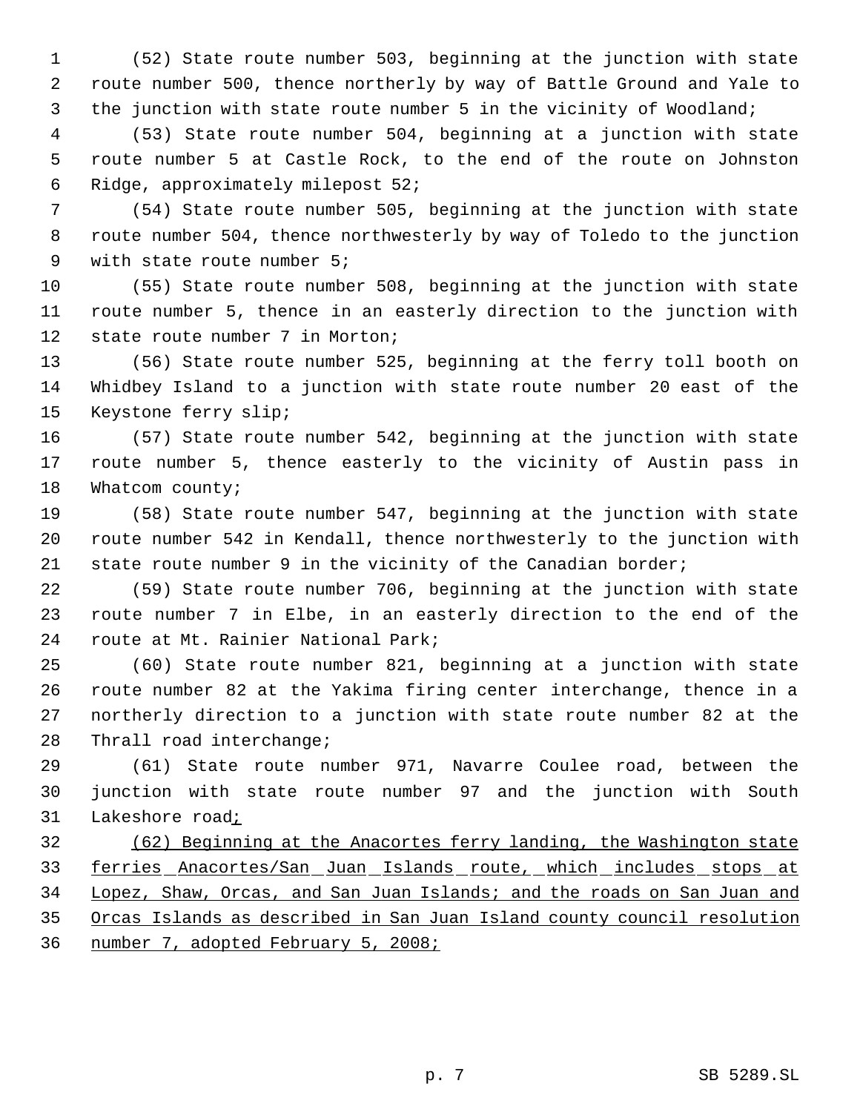(52) State route number 503, beginning at the junction with state route number 500, thence northerly by way of Battle Ground and Yale to the junction with state route number 5 in the vicinity of Woodland;

 (53) State route number 504, beginning at a junction with state route number 5 at Castle Rock, to the end of the route on Johnston Ridge, approximately milepost 52;

 (54) State route number 505, beginning at the junction with state route number 504, thence northwesterly by way of Toledo to the junction with state route number 5;

 (55) State route number 508, beginning at the junction with state route number 5, thence in an easterly direction to the junction with state route number 7 in Morton;

 (56) State route number 525, beginning at the ferry toll booth on Whidbey Island to a junction with state route number 20 east of the Keystone ferry slip;

 (57) State route number 542, beginning at the junction with state route number 5, thence easterly to the vicinity of Austin pass in Whatcom county;

 (58) State route number 547, beginning at the junction with state route number 542 in Kendall, thence northwesterly to the junction with state route number 9 in the vicinity of the Canadian border;

 (59) State route number 706, beginning at the junction with state route number 7 in Elbe, in an easterly direction to the end of the route at Mt. Rainier National Park;

 (60) State route number 821, beginning at a junction with state route number 82 at the Yakima firing center interchange, thence in a northerly direction to a junction with state route number 82 at the Thrall road interchange;

 (61) State route number 971, Navarre Coulee road, between the junction with state route number 97 and the junction with South 31 Lakeshore roadi

 (62) Beginning at the Anacortes ferry landing, the Washington state ferries Anacortes/San Juan Islands route, which includes stops at Lopez, Shaw, Orcas, and San Juan Islands; and the roads on San Juan and Orcas Islands as described in San Juan Island county council resolution number 7, adopted February 5, 2008;